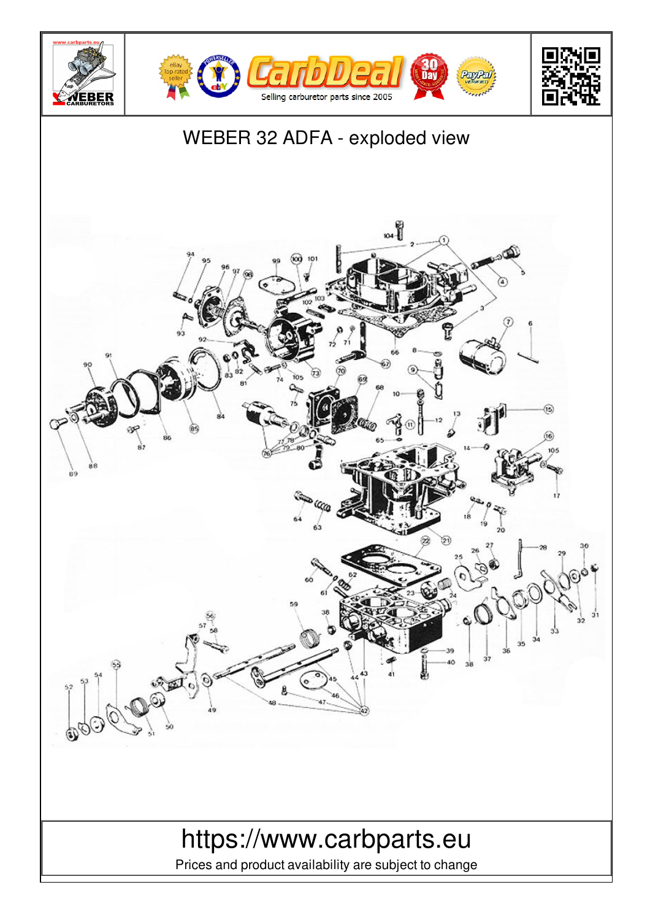